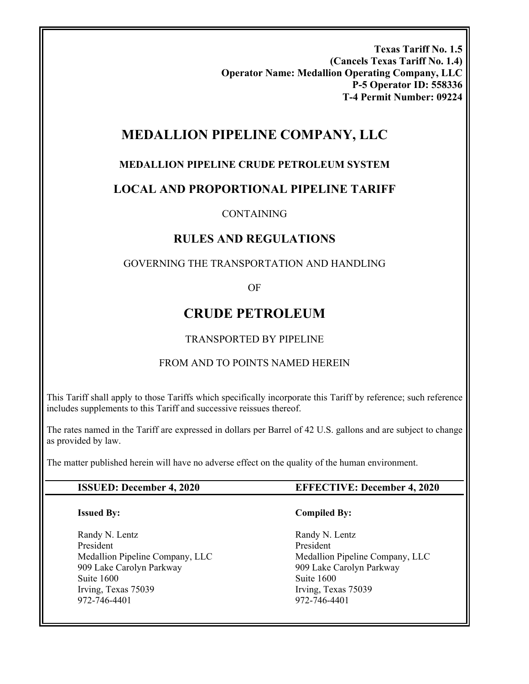**Texas Tariff No. 1.5 (Cancels Texas Tariff No. 1.4) Operator Name: Medallion Operating Company, LLC P-5 Operator ID: 558336 T-4 Permit Number: 09224** 

## **MEDALLION PIPELINE COMPANY, LLC**

#### **MEDALLION PIPELINE CRUDE PETROLEUM SYSTEM**

## **LOCAL AND PROPORTIONAL PIPELINE TARIFF**

#### CONTAINING

## **RULES AND REGULATIONS**

#### GOVERNING THE TRANSPORTATION AND HANDLING

OF

## **CRUDE PETROLEUM**

#### TRANSPORTED BY PIPELINE

#### FROM AND TO POINTS NAMED HEREIN

This Tariff shall apply to those Tariffs which specifically incorporate this Tariff by reference; such reference includes supplements to this Tariff and successive reissues thereof.

The rates named in the Tariff are expressed in dollars per Barrel of 42 U.S. gallons and are subject to change as provided by law.

The matter published herein will have no adverse effect on the quality of the human environment.

#### **ISSUED: December 4, 2020 EFFECTIVE: December 4, 2020**

#### **Issued By:**

Randy N. Lentz President Medallion Pipeline Company, LLC 909 Lake Carolyn Parkway Suite 1600 Irving, Texas 75039 972-746-4401

#### **Compiled By:**

Randy N. Lentz President Medallion Pipeline Company, LLC 909 Lake Carolyn Parkway Suite 1600 Irving, Texas 75039 972-746-4401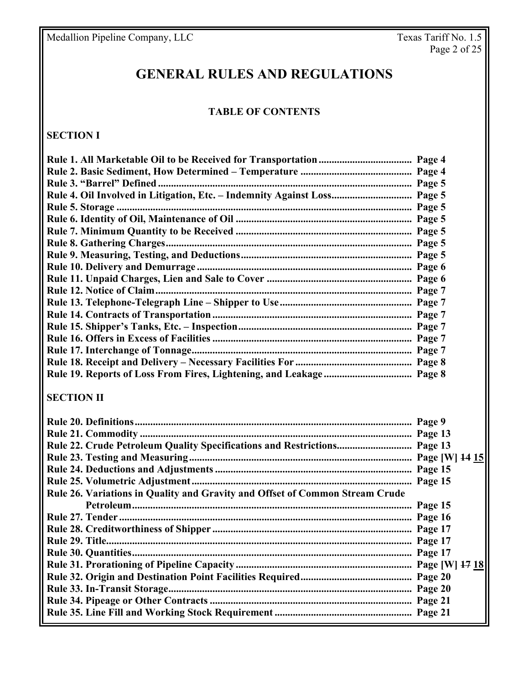Medallion Pipeline Company, LLC

# **GENERAL RULES AND REGULATIONS**

## **TABLE OF CONTENTS**

## **SECTION I**

| Page 4 |
|--------|
| Page 4 |
| Page 5 |
| Page 5 |
| Page 5 |
| Page 5 |
| Page 5 |
| Page 5 |
| Page 5 |
| Page 6 |
| Page 6 |
| Page 7 |
| Page 7 |
| Page 7 |
| Page 7 |
| Page 7 |
| Page 7 |
| Page 8 |
| Page 8 |

## **SECTION II**

|                                                                              | Page 15 |
|------------------------------------------------------------------------------|---------|
| Rule 26. Variations in Quality and Gravity and Offset of Common Stream Crude |         |
|                                                                              | Page 15 |
|                                                                              |         |
|                                                                              |         |
|                                                                              |         |
|                                                                              |         |
|                                                                              |         |
|                                                                              |         |
|                                                                              |         |
|                                                                              |         |
|                                                                              |         |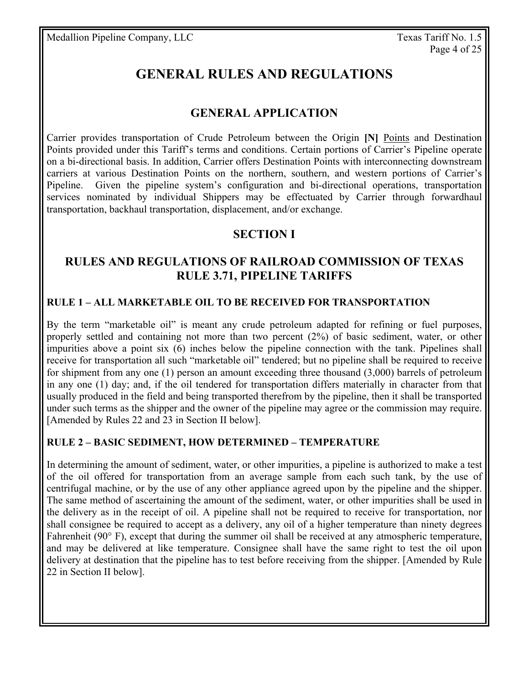# **GENERAL RULES AND REGULATIONS**

## **GENERAL APPLICATION**

Carrier provides transportation of Crude Petroleum between the Origin **[N]** Points and Destination Points provided under this Tariff's terms and conditions. Certain portions of Carrier's Pipeline operate on a bi-directional basis. In addition, Carrier offers Destination Points with interconnecting downstream carriers at various Destination Points on the northern, southern, and western portions of Carrier's Pipeline. Given the pipeline system's configuration and bi-directional operations, transportation services nominated by individual Shippers may be effectuated by Carrier through forwardhaul transportation, backhaul transportation, displacement, and/or exchange.

## **SECTION I**

## **RULES AND REGULATIONS OF RAILROAD COMMISSION OF TEXAS RULE 3.71, PIPELINE TARIFFS**

#### **RULE 1 – ALL MARKETABLE OIL TO BE RECEIVED FOR TRANSPORTATION**

By the term "marketable oil" is meant any crude petroleum adapted for refining or fuel purposes, properly settled and containing not more than two percent (2%) of basic sediment, water, or other impurities above a point six (6) inches below the pipeline connection with the tank. Pipelines shall receive for transportation all such "marketable oil" tendered; but no pipeline shall be required to receive for shipment from any one (1) person an amount exceeding three thousand (3,000) barrels of petroleum in any one (1) day; and, if the oil tendered for transportation differs materially in character from that usually produced in the field and being transported therefrom by the pipeline, then it shall be transported under such terms as the shipper and the owner of the pipeline may agree or the commission may require. [Amended by Rules 22 and 23 in Section II below].

#### **RULE 2 – BASIC SEDIMENT, HOW DETERMINED – TEMPERATURE**

In determining the amount of sediment, water, or other impurities, a pipeline is authorized to make a test of the oil offered for transportation from an average sample from each such tank, by the use of centrifugal machine, or by the use of any other appliance agreed upon by the pipeline and the shipper. The same method of ascertaining the amount of the sediment, water, or other impurities shall be used in the delivery as in the receipt of oil. A pipeline shall not be required to receive for transportation, nor shall consignee be required to accept as a delivery, any oil of a higher temperature than ninety degrees Fahrenheit (90° F), except that during the summer oil shall be received at any atmospheric temperature, and may be delivered at like temperature. Consignee shall have the same right to test the oil upon delivery at destination that the pipeline has to test before receiving from the shipper. [Amended by Rule 22 in Section II below].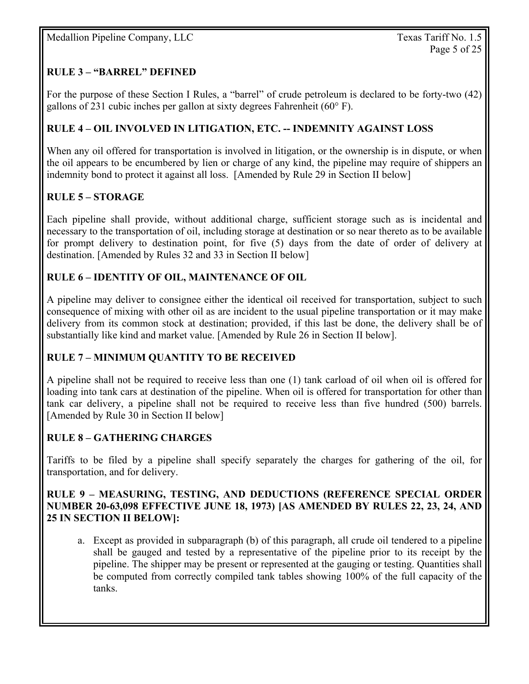## **RULE 3 – "BARREL" DEFINED**

For the purpose of these Section I Rules, a "barrel" of crude petroleum is declared to be forty-two (42) gallons of 231 cubic inches per gallon at sixty degrees Fahrenheit (60° F).

#### **RULE 4 – OIL INVOLVED IN LITIGATION, ETC. -- INDEMNITY AGAINST LOSS**

When any oil offered for transportation is involved in litigation, or the ownership is in dispute, or when the oil appears to be encumbered by lien or charge of any kind, the pipeline may require of shippers an indemnity bond to protect it against all loss. [Amended by Rule 29 in Section II below]

### **RULE 5 – STORAGE**

Each pipeline shall provide, without additional charge, sufficient storage such as is incidental and necessary to the transportation of oil, including storage at destination or so near thereto as to be available for prompt delivery to destination point, for five (5) days from the date of order of delivery at destination. [Amended by Rules 32 and 33 in Section II below]

#### **RULE 6 – IDENTITY OF OIL, MAINTENANCE OF OIL**

A pipeline may deliver to consignee either the identical oil received for transportation, subject to such consequence of mixing with other oil as are incident to the usual pipeline transportation or it may make delivery from its common stock at destination; provided, if this last be done, the delivery shall be of substantially like kind and market value. [Amended by Rule 26 in Section II below].

#### **RULE 7 – MINIMUM QUANTITY TO BE RECEIVED**

A pipeline shall not be required to receive less than one (1) tank carload of oil when oil is offered for loading into tank cars at destination of the pipeline. When oil is offered for transportation for other than tank car delivery, a pipeline shall not be required to receive less than five hundred (500) barrels. [Amended by Rule 30 in Section II below]

#### **RULE 8 – GATHERING CHARGES**

Tariffs to be filed by a pipeline shall specify separately the charges for gathering of the oil, for transportation, and for delivery.

#### **RULE 9 – MEASURING, TESTING, AND DEDUCTIONS (REFERENCE SPECIAL ORDER NUMBER 20-63,098 EFFECTIVE JUNE 18, 1973) [AS AMENDED BY RULES 22, 23, 24, AND 25 IN SECTION II BELOW]:**

a. Except as provided in subparagraph (b) of this paragraph, all crude oil tendered to a pipeline shall be gauged and tested by a representative of the pipeline prior to its receipt by the pipeline. The shipper may be present or represented at the gauging or testing. Quantities shall be computed from correctly compiled tank tables showing 100% of the full capacity of the tanks.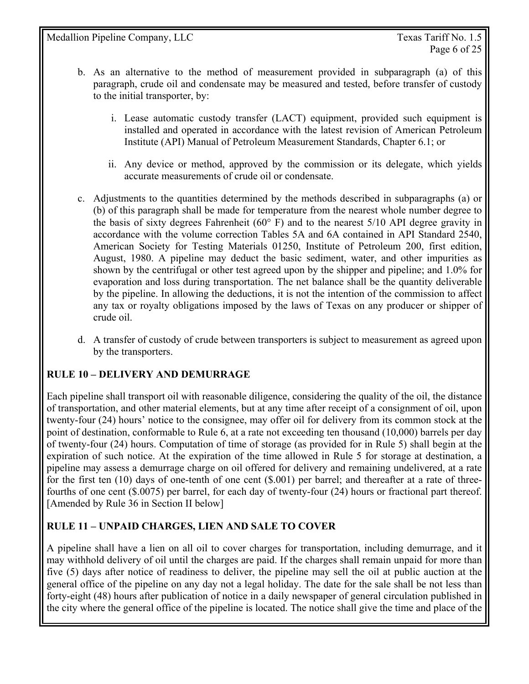- b. As an alternative to the method of measurement provided in subparagraph (a) of this paragraph, crude oil and condensate may be measured and tested, before transfer of custody to the initial transporter, by:
	- i. Lease automatic custody transfer (LACT) equipment, provided such equipment is installed and operated in accordance with the latest revision of American Petroleum Institute (API) Manual of Petroleum Measurement Standards, Chapter 6.1; or
	- ii. Any device or method, approved by the commission or its delegate, which yields accurate measurements of crude oil or condensate.
- c. Adjustments to the quantities determined by the methods described in subparagraphs (a) or (b) of this paragraph shall be made for temperature from the nearest whole number degree to the basis of sixty degrees Fahrenheit ( $60^{\circ}$  F) and to the nearest 5/10 API degree gravity in accordance with the volume correction Tables 5A and 6A contained in API Standard 2540, American Society for Testing Materials 01250, Institute of Petroleum 200, first edition, August, 1980. A pipeline may deduct the basic sediment, water, and other impurities as shown by the centrifugal or other test agreed upon by the shipper and pipeline; and 1.0% for evaporation and loss during transportation. The net balance shall be the quantity deliverable by the pipeline. In allowing the deductions, it is not the intention of the commission to affect any tax or royalty obligations imposed by the laws of Texas on any producer or shipper of crude oil.
- d. A transfer of custody of crude between transporters is subject to measurement as agreed upon by the transporters.

#### **RULE 10 – DELIVERY AND DEMURRAGE**

Each pipeline shall transport oil with reasonable diligence, considering the quality of the oil, the distance of transportation, and other material elements, but at any time after receipt of a consignment of oil, upon twenty-four (24) hours' notice to the consignee, may offer oil for delivery from its common stock at the point of destination, conformable to Rule 6, at a rate not exceeding ten thousand (10,000) barrels per day of twenty-four (24) hours. Computation of time of storage (as provided for in Rule 5) shall begin at the expiration of such notice. At the expiration of the time allowed in Rule 5 for storage at destination, a pipeline may assess a demurrage charge on oil offered for delivery and remaining undelivered, at a rate for the first ten (10) days of one-tenth of one cent (\$.001) per barrel; and thereafter at a rate of threefourths of one cent (\$.0075) per barrel, for each day of twenty-four (24) hours or fractional part thereof. [Amended by Rule 36 in Section II below]

## **RULE 11 – UNPAID CHARGES, LIEN AND SALE TO COVER**

A pipeline shall have a lien on all oil to cover charges for transportation, including demurrage, and it may withhold delivery of oil until the charges are paid. If the charges shall remain unpaid for more than five (5) days after notice of readiness to deliver, the pipeline may sell the oil at public auction at the general office of the pipeline on any day not a legal holiday. The date for the sale shall be not less than forty-eight (48) hours after publication of notice in a daily newspaper of general circulation published in the city where the general office of the pipeline is located. The notice shall give the time and place of the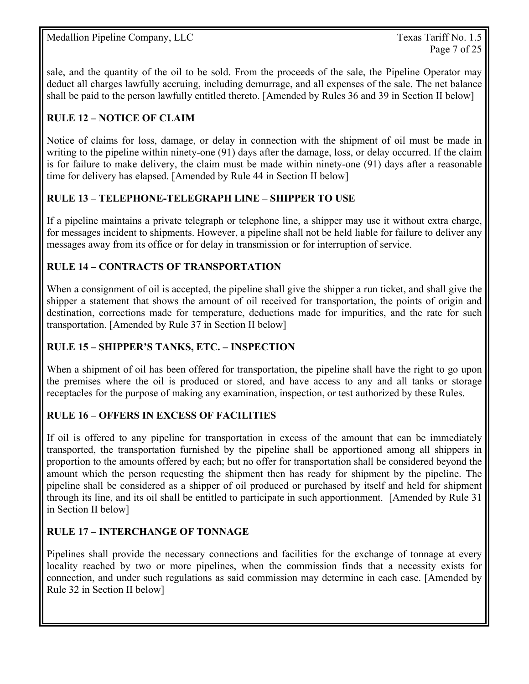sale, and the quantity of the oil to be sold. From the proceeds of the sale, the Pipeline Operator may deduct all charges lawfully accruing, including demurrage, and all expenses of the sale. The net balance shall be paid to the person lawfully entitled thereto. [Amended by Rules 36 and 39 in Section II below]

## **RULE 12 – NOTICE OF CLAIM**

Notice of claims for loss, damage, or delay in connection with the shipment of oil must be made in writing to the pipeline within ninety-one (91) days after the damage, loss, or delay occurred. If the claim is for failure to make delivery, the claim must be made within ninety-one (91) days after a reasonable time for delivery has elapsed. [Amended by Rule 44 in Section II below]

#### **RULE 13 – TELEPHONE-TELEGRAPH LINE – SHIPPER TO USE**

If a pipeline maintains a private telegraph or telephone line, a shipper may use it without extra charge, for messages incident to shipments. However, a pipeline shall not be held liable for failure to deliver any messages away from its office or for delay in transmission or for interruption of service.

#### **RULE 14 – CONTRACTS OF TRANSPORTATION**

When a consignment of oil is accepted, the pipeline shall give the shipper a run ticket, and shall give the shipper a statement that shows the amount of oil received for transportation, the points of origin and destination, corrections made for temperature, deductions made for impurities, and the rate for such transportation. [Amended by Rule 37 in Section II below]

#### **RULE 15 – SHIPPER'S TANKS, ETC. – INSPECTION**

When a shipment of oil has been offered for transportation, the pipeline shall have the right to go upon the premises where the oil is produced or stored, and have access to any and all tanks or storage receptacles for the purpose of making any examination, inspection, or test authorized by these Rules.

#### **RULE 16 – OFFERS IN EXCESS OF FACILITIES**

If oil is offered to any pipeline for transportation in excess of the amount that can be immediately transported, the transportation furnished by the pipeline shall be apportioned among all shippers in proportion to the amounts offered by each; but no offer for transportation shall be considered beyond the amount which the person requesting the shipment then has ready for shipment by the pipeline. The pipeline shall be considered as a shipper of oil produced or purchased by itself and held for shipment through its line, and its oil shall be entitled to participate in such apportionment. [Amended by Rule 31 in Section II below]

#### **RULE 17 – INTERCHANGE OF TONNAGE**

Pipelines shall provide the necessary connections and facilities for the exchange of tonnage at every locality reached by two or more pipelines, when the commission finds that a necessity exists for connection, and under such regulations as said commission may determine in each case. [Amended by Rule 32 in Section II below]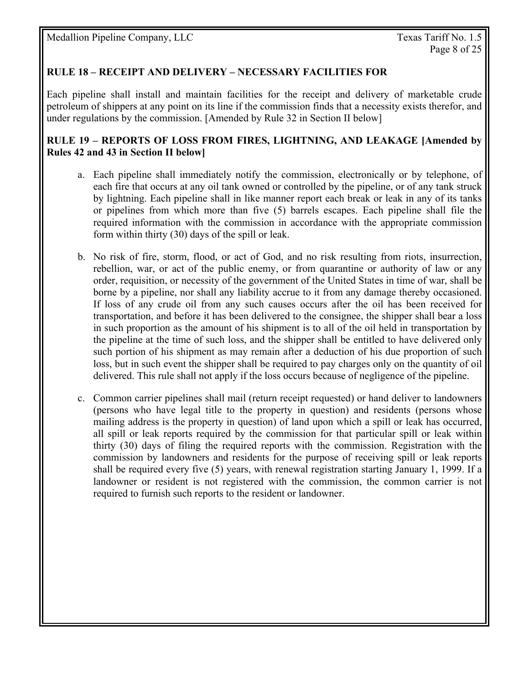#### **RULE 18 – RECEIPT AND DELIVERY – NECESSARY FACILITIES FOR**

Each pipeline shall install and maintain facilities for the receipt and delivery of marketable crude petroleum of shippers at any point on its line if the commission finds that a necessity exists therefor, and under regulations by the commission. [Amended by Rule 32 in Section II below]

#### **RULE 19 – REPORTS OF LOSS FROM FIRES, LIGHTNING, AND LEAKAGE [Amended by Rules 42 and 43 in Section II below]**

- a. Each pipeline shall immediately notify the commission, electronically or by telephone, of each fire that occurs at any oil tank owned or controlled by the pipeline, or of any tank struck by lightning. Each pipeline shall in like manner report each break or leak in any of its tanks or pipelines from which more than five (5) barrels escapes. Each pipeline shall file the required information with the commission in accordance with the appropriate commission form within thirty (30) days of the spill or leak.
- b. No risk of fire, storm, flood, or act of God, and no risk resulting from riots, insurrection, rebellion, war, or act of the public enemy, or from quarantine or authority of law or any order, requisition, or necessity of the government of the United States in time of war, shall be borne by a pipeline, nor shall any liability accrue to it from any damage thereby occasioned. If loss of any crude oil from any such causes occurs after the oil has been received for transportation, and before it has been delivered to the consignee, the shipper shall bear a loss in such proportion as the amount of his shipment is to all of the oil held in transportation by the pipeline at the time of such loss, and the shipper shall be entitled to have delivered only such portion of his shipment as may remain after a deduction of his due proportion of such loss, but in such event the shipper shall be required to pay charges only on the quantity of oil delivered. This rule shall not apply if the loss occurs because of negligence of the pipeline.
- c. Common carrier pipelines shall mail (return receipt requested) or hand deliver to landowners (persons who have legal title to the property in question) and residents (persons whose mailing address is the property in question) of land upon which a spill or leak has occurred, all spill or leak reports required by the commission for that particular spill or leak within thirty (30) days of filing the required reports with the commission. Registration with the commission by landowners and residents for the purpose of receiving spill or leak reports shall be required every five (5) years, with renewal registration starting January 1, 1999. If a landowner or resident is not registered with the commission, the common carrier is not required to furnish such reports to the resident or landowner.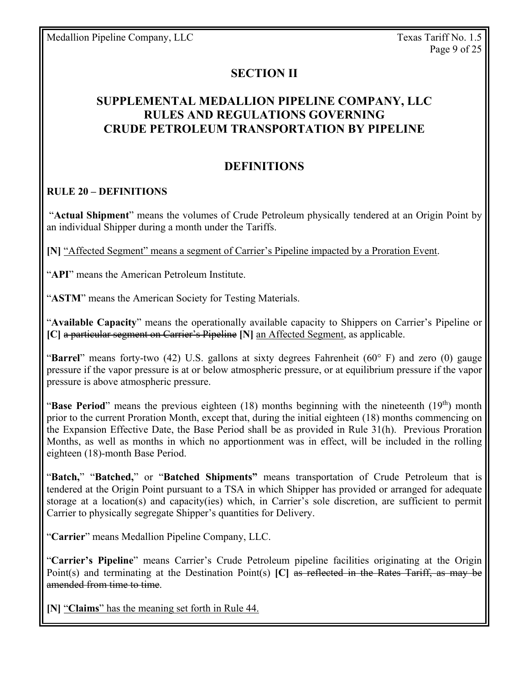## **SECTION II**

## **SUPPLEMENTAL MEDALLION PIPELINE COMPANY, LLC RULES AND REGULATIONS GOVERNING CRUDE PETROLEUM TRANSPORTATION BY PIPELINE**

#### **DEFINITIONS**

#### **RULE 20 – DEFINITIONS**

"**Actual Shipment**" means the volumes of Crude Petroleum physically tendered at an Origin Point by an individual Shipper during a month under the Tariffs.

**[N]** "Affected Segment" means a segment of Carrier's Pipeline impacted by a Proration Event.

"**API**" means the American Petroleum Institute.

"**ASTM**" means the American Society for Testing Materials.

"**Available Capacity**" means the operationally available capacity to Shippers on Carrier's Pipeline or **[C]** a particular segment on Carrier's Pipeline **[N]** an Affected Segment, as applicable.

"**Barrel**" means forty-two (42) U.S. gallons at sixty degrees Fahrenheit (60° F) and zero (0) gauge pressure if the vapor pressure is at or below atmospheric pressure, or at equilibrium pressure if the vapor pressure is above atmospheric pressure.

"**Base Period**" means the previous eighteen (18) months beginning with the nineteenth (19<sup>th</sup>) month prior to the current Proration Month, except that, during the initial eighteen (18) months commencing on the Expansion Effective Date, the Base Period shall be as provided in Rule 31(h). Previous Proration Months, as well as months in which no apportionment was in effect, will be included in the rolling eighteen (18)-month Base Period.

"**Batch,**" "**Batched,**" or "**Batched Shipments"** means transportation of Crude Petroleum that is tendered at the Origin Point pursuant to a TSA in which Shipper has provided or arranged for adequate storage at a location(s) and capacity(ies) which, in Carrier's sole discretion, are sufficient to permit Carrier to physically segregate Shipper's quantities for Delivery.

"**Carrier**" means Medallion Pipeline Company, LLC.

"**Carrier's Pipeline**" means Carrier's Crude Petroleum pipeline facilities originating at the Origin Point(s) and terminating at the Destination Point(s) **[C]** as reflected in the Rates Tariff, as may be amended from time to time.

**[N]** "**Claims**" has the meaning set forth in Rule 44.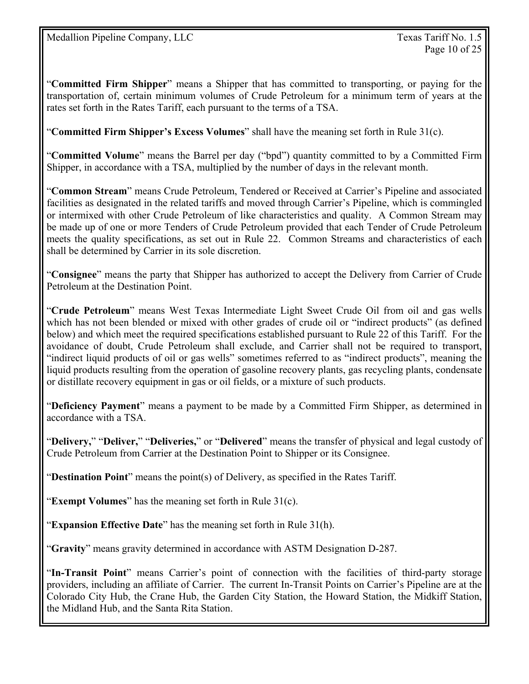"**Committed Firm Shipper**" means a Shipper that has committed to transporting, or paying for the transportation of, certain minimum volumes of Crude Petroleum for a minimum term of years at the rates set forth in the Rates Tariff, each pursuant to the terms of a TSA.

"**Committed Firm Shipper's Excess Volumes**" shall have the meaning set forth in Rule 31(c).

"**Committed Volume**" means the Barrel per day ("bpd") quantity committed to by a Committed Firm Shipper, in accordance with a TSA, multiplied by the number of days in the relevant month.

"**Common Stream**" means Crude Petroleum, Tendered or Received at Carrier's Pipeline and associated facilities as designated in the related tariffs and moved through Carrier's Pipeline, which is commingled or intermixed with other Crude Petroleum of like characteristics and quality. A Common Stream may be made up of one or more Tenders of Crude Petroleum provided that each Tender of Crude Petroleum meets the quality specifications, as set out in Rule 22. Common Streams and characteristics of each shall be determined by Carrier in its sole discretion.

"**Consignee**" means the party that Shipper has authorized to accept the Delivery from Carrier of Crude Petroleum at the Destination Point.

"**Crude Petroleum**" means West Texas Intermediate Light Sweet Crude Oil from oil and gas wells which has not been blended or mixed with other grades of crude oil or "indirect products" (as defined below) and which meet the required specifications established pursuant to Rule 22 of this Tariff. For the avoidance of doubt, Crude Petroleum shall exclude, and Carrier shall not be required to transport, "indirect liquid products of oil or gas wells" sometimes referred to as "indirect products", meaning the liquid products resulting from the operation of gasoline recovery plants, gas recycling plants, condensate or distillate recovery equipment in gas or oil fields, or a mixture of such products.

"**Deficiency Payment**" means a payment to be made by a Committed Firm Shipper, as determined in accordance with a TSA.

"**Delivery,**" "**Deliver,**" "**Deliveries,**" or "**Delivered**" means the transfer of physical and legal custody of Crude Petroleum from Carrier at the Destination Point to Shipper or its Consignee.

"**Destination Point**" means the point(s) of Delivery, as specified in the Rates Tariff.

"**Exempt Volumes**" has the meaning set forth in Rule 31(c).

"**Expansion Effective Date**" has the meaning set forth in Rule 31(h).

"**Gravity**" means gravity determined in accordance with ASTM Designation D-287.

"**In-Transit Point**" means Carrier's point of connection with the facilities of third-party storage providers, including an affiliate of Carrier. The current In-Transit Points on Carrier's Pipeline are at the Colorado City Hub, the Crane Hub, the Garden City Station, the Howard Station, the Midkiff Station, the Midland Hub, and the Santa Rita Station.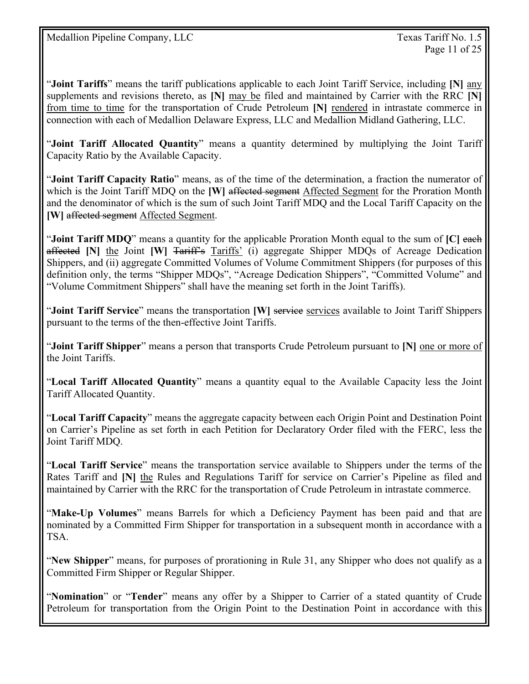"**Joint Tariffs**" means the tariff publications applicable to each Joint Tariff Service, including **[N]** any supplements and revisions thereto, as **[N]** may be filed and maintained by Carrier with the RRC **[N]** from time to time for the transportation of Crude Petroleum **[N]** rendered in intrastate commerce in connection with each of Medallion Delaware Express, LLC and Medallion Midland Gathering, LLC.

"**Joint Tariff Allocated Quantity**" means a quantity determined by multiplying the Joint Tariff Capacity Ratio by the Available Capacity.

"**Joint Tariff Capacity Ratio**" means, as of the time of the determination, a fraction the numerator of which is the Joint Tariff MDQ on the **[W]** affected segment Affected Segment for the Proration Month and the denominator of which is the sum of such Joint Tariff MDQ and the Local Tariff Capacity on the **[W]** affected segment Affected Segment.

"**Joint Tariff MDQ**" means a quantity for the applicable Proration Month equal to the sum of **[C]** each affected **[N]** the Joint **[W]** Tariff's Tariffs' (i) aggregate Shipper MDQs of Acreage Dedication Shippers, and (ii) aggregate Committed Volumes of Volume Commitment Shippers (for purposes of this definition only, the terms "Shipper MDQs", "Acreage Dedication Shippers", "Committed Volume" and "Volume Commitment Shippers" shall have the meaning set forth in the Joint Tariffs).

"**Joint Tariff Service**" means the transportation **[W]** services available to Joint Tariff Shippers pursuant to the terms of the then-effective Joint Tariffs.

"**Joint Tariff Shipper**" means a person that transports Crude Petroleum pursuant to **[N]** one or more of the Joint Tariffs.

"**Local Tariff Allocated Quantity**" means a quantity equal to the Available Capacity less the Joint Tariff Allocated Quantity.

"**Local Tariff Capacity**" means the aggregate capacity between each Origin Point and Destination Point on Carrier's Pipeline as set forth in each Petition for Declaratory Order filed with the FERC, less the Joint Tariff MDQ.

"**Local Tariff Service**" means the transportation service available to Shippers under the terms of the Rates Tariff and **[N]** the Rules and Regulations Tariff for service on Carrier's Pipeline as filed and maintained by Carrier with the RRC for the transportation of Crude Petroleum in intrastate commerce.

"**Make-Up Volumes**" means Barrels for which a Deficiency Payment has been paid and that are nominated by a Committed Firm Shipper for transportation in a subsequent month in accordance with a TSA.

"**New Shipper**" means, for purposes of prorationing in Rule 31, any Shipper who does not qualify as a Committed Firm Shipper or Regular Shipper.

"**Nomination**" or "**Tender**" means any offer by a Shipper to Carrier of a stated quantity of Crude Petroleum for transportation from the Origin Point to the Destination Point in accordance with this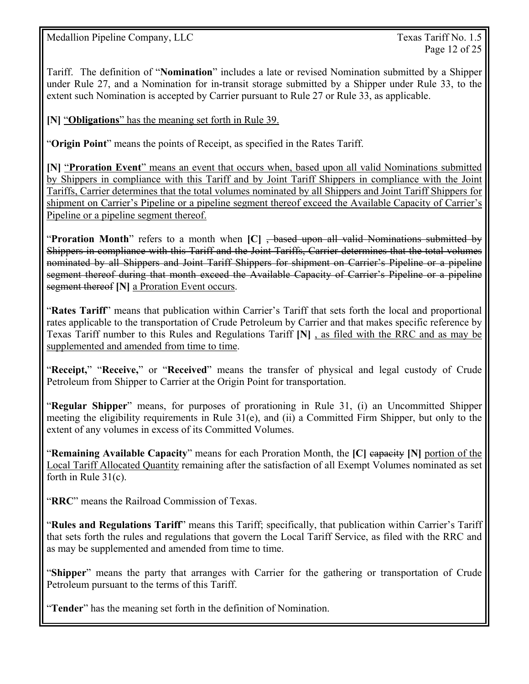Tariff. The definition of "**Nomination**" includes a late or revised Nomination submitted by a Shipper under Rule 27, and a Nomination for in-transit storage submitted by a Shipper under Rule 33, to the extent such Nomination is accepted by Carrier pursuant to Rule 27 or Rule 33, as applicable.

**[N]** "**Obligations**" has the meaning set forth in Rule 39.

"**Origin Point**" means the points of Receipt, as specified in the Rates Tariff.

**[N]** "**Proration Event**" means an event that occurs when, based upon all valid Nominations submitted by Shippers in compliance with this Tariff and by Joint Tariff Shippers in compliance with the Joint Tariffs, Carrier determines that the total volumes nominated by all Shippers and Joint Tariff Shippers for shipment on Carrier's Pipeline or a pipeline segment thereof exceed the Available Capacity of Carrier's Pipeline or a pipeline segment thereof.

"**Proration Month**" refers to a month when **[C]** , based upon all valid Nominations submitted by Shippers in compliance with this Tariff and the Joint Tariffs, Carrier determines that the total volumes nominated by all Shippers and Joint Tariff Shippers for shipment on Carrier's Pipeline or a pipeline segment thereof during that month exceed the Available Capacity of Carrier's Pipeline or a pipeline segment thereof [N] a Proration Event occurs.

"**Rates Tariff**" means that publication within Carrier's Tariff that sets forth the local and proportional rates applicable to the transportation of Crude Petroleum by Carrier and that makes specific reference by Texas Tariff number to this Rules and Regulations Tariff **[N]** , as filed with the RRC and as may be supplemented and amended from time to time.

"**Receipt,**" "**Receive,**" or "**Received**" means the transfer of physical and legal custody of Crude Petroleum from Shipper to Carrier at the Origin Point for transportation.

"**Regular Shipper**" means, for purposes of prorationing in Rule 31, (i) an Uncommitted Shipper meeting the eligibility requirements in Rule 31(e), and (ii) a Committed Firm Shipper, but only to the extent of any volumes in excess of its Committed Volumes.

"**Remaining Available Capacity**" means for each Proration Month, the **[C]** capacity **[N]** portion of the Local Tariff Allocated Quantity remaining after the satisfaction of all Exempt Volumes nominated as set forth in Rule 31(c).

"**RRC**" means the Railroad Commission of Texas.

"**Rules and Regulations Tariff**" means this Tariff; specifically, that publication within Carrier's Tariff that sets forth the rules and regulations that govern the Local Tariff Service, as filed with the RRC and as may be supplemented and amended from time to time.

"**Shipper**" means the party that arranges with Carrier for the gathering or transportation of Crude Petroleum pursuant to the terms of this Tariff.

"**Tender**" has the meaning set forth in the definition of Nomination.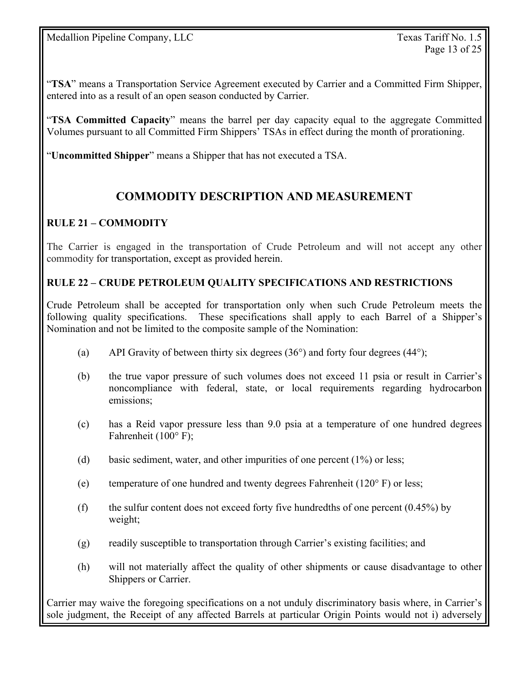"**TSA**" means a Transportation Service Agreement executed by Carrier and a Committed Firm Shipper, entered into as a result of an open season conducted by Carrier.

"**TSA Committed Capacity**" means the barrel per day capacity equal to the aggregate Committed Volumes pursuant to all Committed Firm Shippers' TSAs in effect during the month of prorationing.

"**Uncommitted Shipper**" means a Shipper that has not executed a TSA.

## **COMMODITY DESCRIPTION AND MEASUREMENT**

## **RULE 21 – COMMODITY**

The Carrier is engaged in the transportation of Crude Petroleum and will not accept any other commodity for transportation, except as provided herein.

#### **RULE 22 – CRUDE PETROLEUM QUALITY SPECIFICATIONS AND RESTRICTIONS**

Crude Petroleum shall be accepted for transportation only when such Crude Petroleum meets the following quality specifications. These specifications shall apply to each Barrel of a Shipper's Nomination and not be limited to the composite sample of the Nomination:

- (a) API Gravity of between thirty six degrees  $(36^{\circ})$  and forty four degrees  $(44^{\circ})$ ;
- (b) the true vapor pressure of such volumes does not exceed 11 psia or result in Carrier's noncompliance with federal, state, or local requirements regarding hydrocarbon emissions;
- (c) has a Reid vapor pressure less than 9.0 psia at a temperature of one hundred degrees Fahrenheit (100° F);
- (d) basic sediment, water, and other impurities of one percent (1%) or less;
- (e) temperature of one hundred and twenty degrees Fahrenheit (120° F) or less;
- (f) the sulfur content does not exceed forty five hundredths of one percent  $(0.45\%)$  by weight;
- (g) readily susceptible to transportation through Carrier's existing facilities; and
- (h) will not materially affect the quality of other shipments or cause disadvantage to other Shippers or Carrier.

Carrier may waive the foregoing specifications on a not unduly discriminatory basis where, in Carrier's sole judgment, the Receipt of any affected Barrels at particular Origin Points would not i) adversely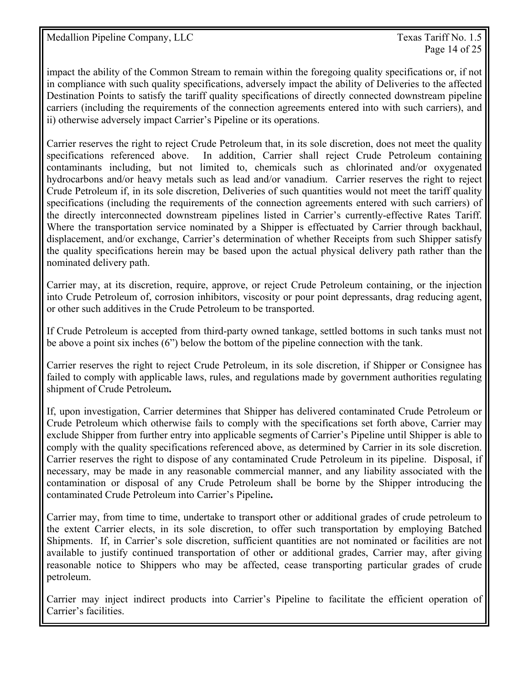Page 14 of 25

impact the ability of the Common Stream to remain within the foregoing quality specifications or, if not in compliance with such quality specifications, adversely impact the ability of Deliveries to the affected Destination Points to satisfy the tariff quality specifications of directly connected downstream pipeline carriers (including the requirements of the connection agreements entered into with such carriers), and ii) otherwise adversely impact Carrier's Pipeline or its operations.

Carrier reserves the right to reject Crude Petroleum that, in its sole discretion, does not meet the quality specifications referenced above. In addition, Carrier shall reject Crude Petroleum containing contaminants including, but not limited to, chemicals such as chlorinated and/or oxygenated hydrocarbons and/or heavy metals such as lead and/or vanadium. Carrier reserves the right to reject Crude Petroleum if, in its sole discretion, Deliveries of such quantities would not meet the tariff quality specifications (including the requirements of the connection agreements entered with such carriers) of the directly interconnected downstream pipelines listed in Carrier's currently-effective Rates Tariff. Where the transportation service nominated by a Shipper is effectuated by Carrier through backhaul, displacement, and/or exchange, Carrier's determination of whether Receipts from such Shipper satisfy the quality specifications herein may be based upon the actual physical delivery path rather than the nominated delivery path.

Carrier may, at its discretion, require, approve, or reject Crude Petroleum containing, or the injection into Crude Petroleum of, corrosion inhibitors, viscosity or pour point depressants, drag reducing agent, or other such additives in the Crude Petroleum to be transported.

If Crude Petroleum is accepted from third-party owned tankage, settled bottoms in such tanks must not be above a point six inches (6") below the bottom of the pipeline connection with the tank.

Carrier reserves the right to reject Crude Petroleum, in its sole discretion, if Shipper or Consignee has failed to comply with applicable laws, rules, and regulations made by government authorities regulating shipment of Crude Petroleum**.**

If, upon investigation, Carrier determines that Shipper has delivered contaminated Crude Petroleum or Crude Petroleum which otherwise fails to comply with the specifications set forth above, Carrier may exclude Shipper from further entry into applicable segments of Carrier's Pipeline until Shipper is able to comply with the quality specifications referenced above, as determined by Carrier in its sole discretion. Carrier reserves the right to dispose of any contaminated Crude Petroleum in its pipeline. Disposal, if necessary, may be made in any reasonable commercial manner, and any liability associated with the contamination or disposal of any Crude Petroleum shall be borne by the Shipper introducing the contaminated Crude Petroleum into Carrier's Pipeline**.**

Carrier may, from time to time, undertake to transport other or additional grades of crude petroleum to the extent Carrier elects, in its sole discretion, to offer such transportation by employing Batched Shipments. If, in Carrier's sole discretion, sufficient quantities are not nominated or facilities are not available to justify continued transportation of other or additional grades, Carrier may, after giving reasonable notice to Shippers who may be affected, cease transporting particular grades of crude petroleum.

Carrier may inject indirect products into Carrier's Pipeline to facilitate the efficient operation of Carrier's facilities.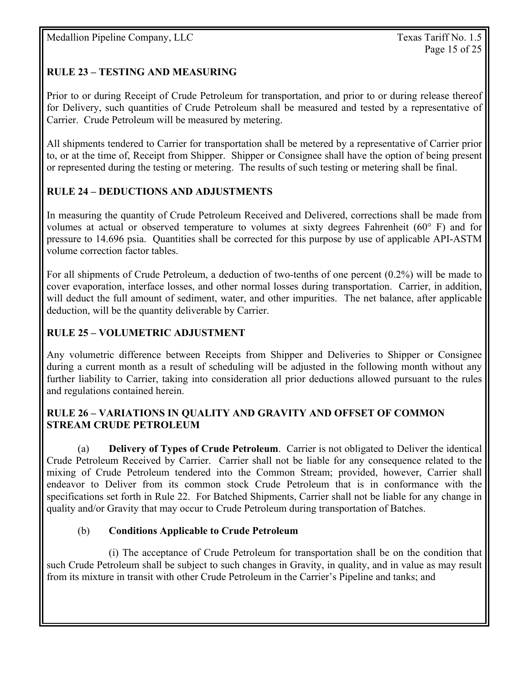## **RULE 23 – TESTING AND MEASURING**

Prior to or during Receipt of Crude Petroleum for transportation, and prior to or during release thereof for Delivery, such quantities of Crude Petroleum shall be measured and tested by a representative of Carrier. Crude Petroleum will be measured by metering.

All shipments tendered to Carrier for transportation shall be metered by a representative of Carrier prior to, or at the time of, Receipt from Shipper. Shipper or Consignee shall have the option of being present or represented during the testing or metering. The results of such testing or metering shall be final.

#### **RULE 24 – DEDUCTIONS AND ADJUSTMENTS**

In measuring the quantity of Crude Petroleum Received and Delivered, corrections shall be made from volumes at actual or observed temperature to volumes at sixty degrees Fahrenheit ( $60^{\circ}$  F) and for pressure to 14.696 psia. Quantities shall be corrected for this purpose by use of applicable API-ASTM volume correction factor tables.

For all shipments of Crude Petroleum, a deduction of two-tenths of one percent (0.2%) will be made to cover evaporation, interface losses, and other normal losses during transportation. Carrier, in addition, will deduct the full amount of sediment, water, and other impurities. The net balance, after applicable deduction, will be the quantity deliverable by Carrier.

#### **RULE 25 – VOLUMETRIC ADJUSTMENT**

Any volumetric difference between Receipts from Shipper and Deliveries to Shipper or Consignee during a current month as a result of scheduling will be adjusted in the following month without any further liability to Carrier, taking into consideration all prior deductions allowed pursuant to the rules and regulations contained herein.

#### **RULE 26 – VARIATIONS IN QUALITY AND GRAVITY AND OFFSET OF COMMON STREAM CRUDE PETROLEUM**

(a) **Delivery of Types of Crude Petroleum**. Carrier is not obligated to Deliver the identical Crude Petroleum Received by Carrier. Carrier shall not be liable for any consequence related to the mixing of Crude Petroleum tendered into the Common Stream; provided, however, Carrier shall endeavor to Deliver from its common stock Crude Petroleum that is in conformance with the specifications set forth in Rule 22. For Batched Shipments, Carrier shall not be liable for any change in quality and/or Gravity that may occur to Crude Petroleum during transportation of Batches.

#### (b) **Conditions Applicable to Crude Petroleum**

 (i) The acceptance of Crude Petroleum for transportation shall be on the condition that such Crude Petroleum shall be subject to such changes in Gravity, in quality, and in value as may result from its mixture in transit with other Crude Petroleum in the Carrier's Pipeline and tanks; and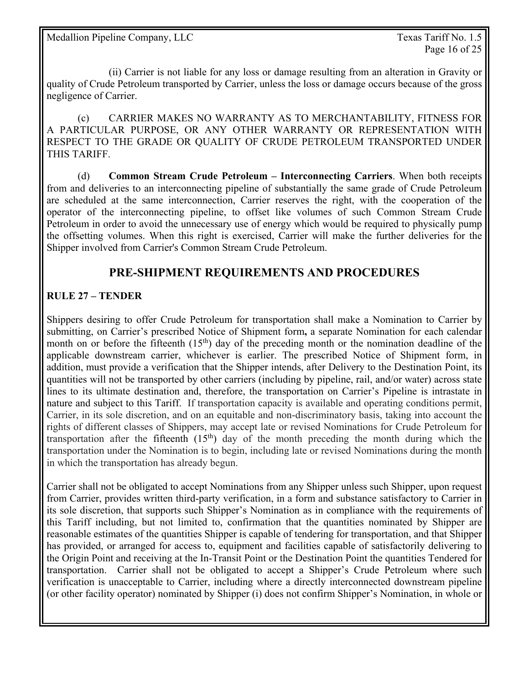(ii) Carrier is not liable for any loss or damage resulting from an alteration in Gravity or quality of Crude Petroleum transported by Carrier, unless the loss or damage occurs because of the gross negligence of Carrier.

 (c) CARRIER MAKES NO WARRANTY AS TO MERCHANTABILITY, FITNESS FOR A PARTICULAR PURPOSE, OR ANY OTHER WARRANTY OR REPRESENTATION WITH RESPECT TO THE GRADE OR QUALITY OF CRUDE PETROLEUM TRANSPORTED UNDER THIS TARIFF.

 (d) **Common Stream Crude Petroleum – Interconnecting Carriers**. When both receipts from and deliveries to an interconnecting pipeline of substantially the same grade of Crude Petroleum are scheduled at the same interconnection, Carrier reserves the right, with the cooperation of the operator of the interconnecting pipeline, to offset like volumes of such Common Stream Crude Petroleum in order to avoid the unnecessary use of energy which would be required to physically pump the offsetting volumes. When this right is exercised, Carrier will make the further deliveries for the Shipper involved from Carrier's Common Stream Crude Petroleum.

## **PRE-SHIPMENT REQUIREMENTS AND PROCEDURES**

#### **RULE 27 – TENDER**

Shippers desiring to offer Crude Petroleum for transportation shall make a Nomination to Carrier by submitting, on Carrier's prescribed Notice of Shipment form**,** a separate Nomination for each calendar month on or before the fifteenth  $(15<sup>th</sup>)$  day of the preceding month or the nomination deadline of the applicable downstream carrier, whichever is earlier. The prescribed Notice of Shipment form, in addition, must provide a verification that the Shipper intends, after Delivery to the Destination Point, its quantities will not be transported by other carriers (including by pipeline, rail, and/or water) across state lines to its ultimate destination and, therefore, the transportation on Carrier's Pipeline is intrastate in nature and subject to this Tariff. If transportation capacity is available and operating conditions permit, Carrier, in its sole discretion, and on an equitable and non-discriminatory basis, taking into account the rights of different classes of Shippers, may accept late or revised Nominations for Crude Petroleum for transportation after the fifteenth  $(15<sup>th</sup>)$  day of the month preceding the month during which the transportation under the Nomination is to begin, including late or revised Nominations during the month in which the transportation has already begun.

Carrier shall not be obligated to accept Nominations from any Shipper unless such Shipper, upon request from Carrier, provides written third-party verification, in a form and substance satisfactory to Carrier in its sole discretion, that supports such Shipper's Nomination as in compliance with the requirements of this Tariff including, but not limited to, confirmation that the quantities nominated by Shipper are reasonable estimates of the quantities Shipper is capable of tendering for transportation, and that Shipper has provided, or arranged for access to, equipment and facilities capable of satisfactorily delivering to the Origin Point and receiving at the In-Transit Point or the Destination Point the quantities Tendered for transportation. Carrier shall not be obligated to accept a Shipper's Crude Petroleum where such verification is unacceptable to Carrier, including where a directly interconnected downstream pipeline (or other facility operator) nominated by Shipper (i) does not confirm Shipper's Nomination, in whole or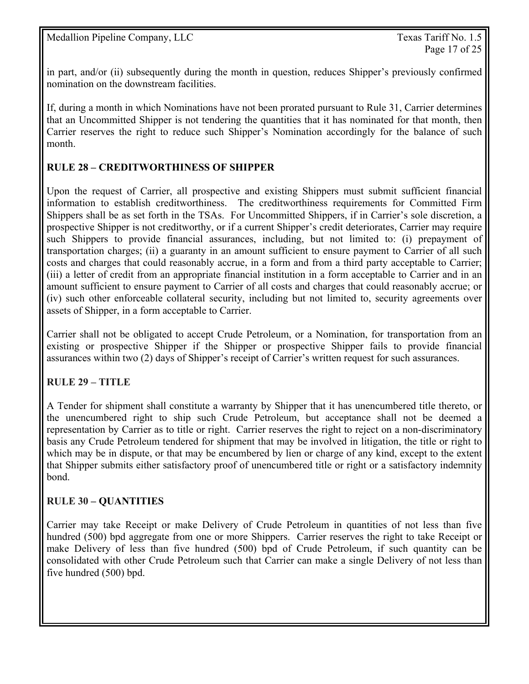in part, and/or (ii) subsequently during the month in question, reduces Shipper's previously confirmed nomination on the downstream facilities.

If, during a month in which Nominations have not been prorated pursuant to Rule 31, Carrier determines that an Uncommitted Shipper is not tendering the quantities that it has nominated for that month, then Carrier reserves the right to reduce such Shipper's Nomination accordingly for the balance of such month.

### **RULE 28 – CREDITWORTHINESS OF SHIPPER**

Upon the request of Carrier, all prospective and existing Shippers must submit sufficient financial information to establish creditworthiness. The creditworthiness requirements for Committed Firm Shippers shall be as set forth in the TSAs. For Uncommitted Shippers, if in Carrier's sole discretion, a prospective Shipper is not creditworthy, or if a current Shipper's credit deteriorates, Carrier may require such Shippers to provide financial assurances, including, but not limited to: (i) prepayment of transportation charges; (ii) a guaranty in an amount sufficient to ensure payment to Carrier of all such costs and charges that could reasonably accrue, in a form and from a third party acceptable to Carrier; (iii) a letter of credit from an appropriate financial institution in a form acceptable to Carrier and in an amount sufficient to ensure payment to Carrier of all costs and charges that could reasonably accrue; or (iv) such other enforceable collateral security, including but not limited to, security agreements over assets of Shipper, in a form acceptable to Carrier.

Carrier shall not be obligated to accept Crude Petroleum, or a Nomination, for transportation from an existing or prospective Shipper if the Shipper or prospective Shipper fails to provide financial assurances within two (2) days of Shipper's receipt of Carrier's written request for such assurances.

#### **RULE 29 – TITLE**

A Tender for shipment shall constitute a warranty by Shipper that it has unencumbered title thereto, or the unencumbered right to ship such Crude Petroleum, but acceptance shall not be deemed a representation by Carrier as to title or right. Carrier reserves the right to reject on a non-discriminatory basis any Crude Petroleum tendered for shipment that may be involved in litigation, the title or right to which may be in dispute, or that may be encumbered by lien or charge of any kind, except to the extent that Shipper submits either satisfactory proof of unencumbered title or right or a satisfactory indemnity bond.

#### **RULE 30 – QUANTITIES**

Carrier may take Receipt or make Delivery of Crude Petroleum in quantities of not less than five hundred (500) bpd aggregate from one or more Shippers. Carrier reserves the right to take Receipt or make Delivery of less than five hundred (500) bpd of Crude Petroleum, if such quantity can be consolidated with other Crude Petroleum such that Carrier can make a single Delivery of not less than five hundred (500) bpd.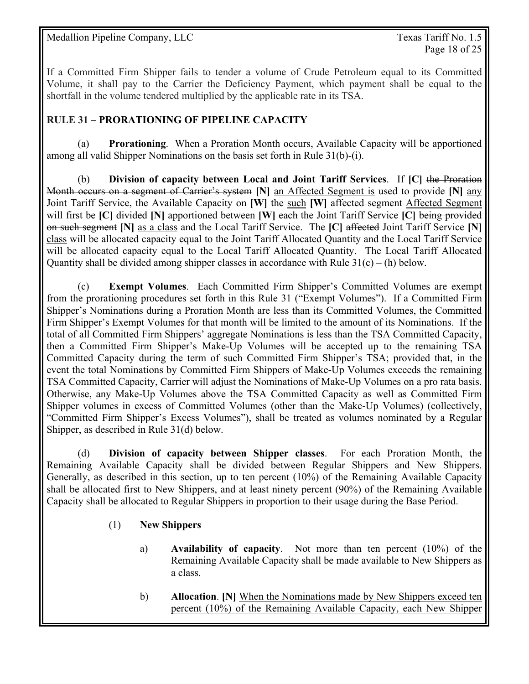If a Committed Firm Shipper fails to tender a volume of Crude Petroleum equal to its Committed Volume, it shall pay to the Carrier the Deficiency Payment, which payment shall be equal to the shortfall in the volume tendered multiplied by the applicable rate in its TSA.

#### **RULE 31 – PRORATIONING OF PIPELINE CAPACITY**

 (a) **Prorationing**. When a Proration Month occurs, Available Capacity will be apportioned among all valid Shipper Nominations on the basis set forth in Rule 31(b)-(i).

(b) **Division of capacity between Local and Joint Tariff Services**. If **[C]** the Proration Month occurs on a segment of Carrier's system **[N]** an Affected Segment is used to provide **[N]** any Joint Tariff Service, the Available Capacity on **[W]** the such **[W]** affected segment Affected Segment will first be **[C]** divided **[N]** apportioned between **[W]** each the Joint Tariff Service **[C]** being provided on such segment **[N]** as a class and the Local Tariff Service. The **[C]** affected Joint Tariff Service **[N]** class will be allocated capacity equal to the Joint Tariff Allocated Quantity and the Local Tariff Service will be allocated capacity equal to the Local Tariff Allocated Quantity. The Local Tariff Allocated Quantity shall be divided among shipper classes in accordance with Rule  $31(c) - (h)$  below.

 (c) **Exempt Volumes**. Each Committed Firm Shipper's Committed Volumes are exempt from the prorationing procedures set forth in this Rule 31 ("Exempt Volumes"). If a Committed Firm Shipper's Nominations during a Proration Month are less than its Committed Volumes, the Committed Firm Shipper's Exempt Volumes for that month will be limited to the amount of its Nominations. If the total of all Committed Firm Shippers' aggregate Nominations is less than the TSA Committed Capacity, then a Committed Firm Shipper's Make-Up Volumes will be accepted up to the remaining TSA Committed Capacity during the term of such Committed Firm Shipper's TSA; provided that, in the event the total Nominations by Committed Firm Shippers of Make-Up Volumes exceeds the remaining TSA Committed Capacity, Carrier will adjust the Nominations of Make-Up Volumes on a pro rata basis. Otherwise, any Make-Up Volumes above the TSA Committed Capacity as well as Committed Firm Shipper volumes in excess of Committed Volumes (other than the Make-Up Volumes) (collectively, "Committed Firm Shipper's Excess Volumes"), shall be treated as volumes nominated by a Regular Shipper, as described in Rule 31(d) below.

 (d) **Division of capacity between Shipper classes**. For each Proration Month, the Remaining Available Capacity shall be divided between Regular Shippers and New Shippers. Generally, as described in this section, up to ten percent (10%) of the Remaining Available Capacity shall be allocated first to New Shippers, and at least ninety percent (90%) of the Remaining Available Capacity shall be allocated to Regular Shippers in proportion to their usage during the Base Period.

#### (1) **New Shippers**

- a) **Availability of capacity**. Not more than ten percent (10%) of the Remaining Available Capacity shall be made available to New Shippers as a class.
- b) **Allocation**. **[N]** When the Nominations made by New Shippers exceed ten percent (10%) of the Remaining Available Capacity, each New Shipper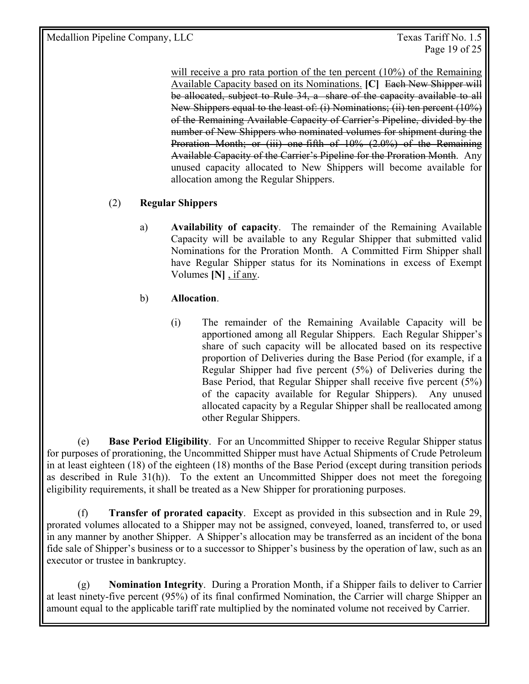will receive a pro rata portion of the ten percent (10%) of the Remaining Available Capacity based on its Nominations. **[C]** Each New Shipper will be allocated, subject to Rule 34, a share of the capacity available to all New Shippers equal to the least of: (i) Nominations; (ii) ten percent (10%) of the Remaining Available Capacity of Carrier's Pipeline, divided by the number of New Shippers who nominated volumes for shipment during the Proration Month; or (iii) one-fifth of 10% (2.0%) of the Remaining Available Capacity of the Carrier's Pipeline for the Proration Month. Any unused capacity allocated to New Shippers will become available for allocation among the Regular Shippers.

## (2) **Regular Shippers**

a) **Availability of capacity**. The remainder of the Remaining Available Capacity will be available to any Regular Shipper that submitted valid Nominations for the Proration Month. A Committed Firm Shipper shall have Regular Shipper status for its Nominations in excess of Exempt Volumes **[N]** , if any.

#### b) **Allocation**.

(i) The remainder of the Remaining Available Capacity will be apportioned among all Regular Shippers. Each Regular Shipper's share of such capacity will be allocated based on its respective proportion of Deliveries during the Base Period (for example, if a Regular Shipper had five percent (5%) of Deliveries during the Base Period, that Regular Shipper shall receive five percent (5%) of the capacity available for Regular Shippers). Any unused allocated capacity by a Regular Shipper shall be reallocated among other Regular Shippers.

 (e) **Base Period Eligibility**. For an Uncommitted Shipper to receive Regular Shipper status for purposes of prorationing, the Uncommitted Shipper must have Actual Shipments of Crude Petroleum in at least eighteen (18) of the eighteen (18) months of the Base Period (except during transition periods as described in Rule 31(h)). To the extent an Uncommitted Shipper does not meet the foregoing eligibility requirements, it shall be treated as a New Shipper for prorationing purposes.

 (f) **Transfer of prorated capacity**. Except as provided in this subsection and in Rule 29, prorated volumes allocated to a Shipper may not be assigned, conveyed, loaned, transferred to, or used in any manner by another Shipper. A Shipper's allocation may be transferred as an incident of the bona fide sale of Shipper's business or to a successor to Shipper's business by the operation of law, such as an executor or trustee in bankruptcy.

 (g) **Nomination Integrity**. During a Proration Month, if a Shipper fails to deliver to Carrier at least ninety-five percent (95%) of its final confirmed Nomination, the Carrier will charge Shipper an amount equal to the applicable tariff rate multiplied by the nominated volume not received by Carrier.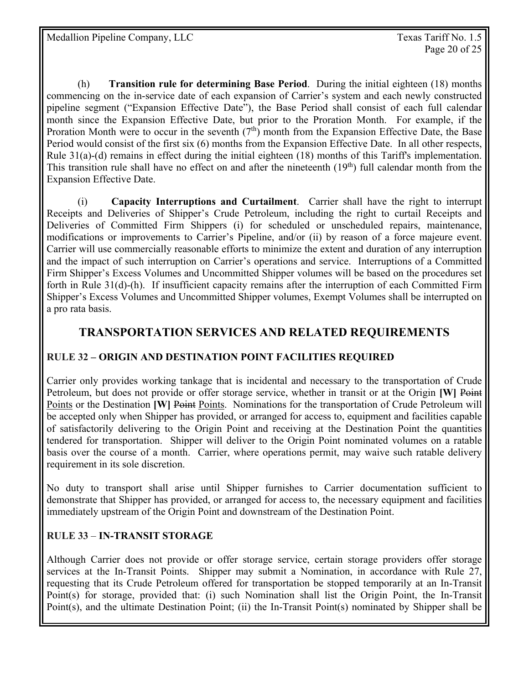(h) **Transition rule for determining Base Period**. During the initial eighteen (18) months commencing on the in-service date of each expansion of Carrier's system and each newly constructed pipeline segment ("Expansion Effective Date"), the Base Period shall consist of each full calendar month since the Expansion Effective Date, but prior to the Proration Month. For example, if the Proration Month were to occur in the seventh  $(7<sup>th</sup>)$  month from the Expansion Effective Date, the Base Period would consist of the first six (6) months from the Expansion Effective Date. In all other respects, Rule 31(a)-(d) remains in effect during the initial eighteen (18) months of this Tariff's implementation. This transition rule shall have no effect on and after the nineteenth  $(19<sup>th</sup>)$  full calendar month from the Expansion Effective Date.

(i) **Capacity Interruptions and Curtailment**. Carrier shall have the right to interrupt Receipts and Deliveries of Shipper's Crude Petroleum, including the right to curtail Receipts and Deliveries of Committed Firm Shippers (i) for scheduled or unscheduled repairs, maintenance, modifications or improvements to Carrier's Pipeline, and/or (ii) by reason of a force majeure event. Carrier will use commercially reasonable efforts to minimize the extent and duration of any interruption and the impact of such interruption on Carrier's operations and service. Interruptions of a Committed Firm Shipper's Excess Volumes and Uncommitted Shipper volumes will be based on the procedures set forth in Rule 31(d)-(h). If insufficient capacity remains after the interruption of each Committed Firm Shipper's Excess Volumes and Uncommitted Shipper volumes, Exempt Volumes shall be interrupted on a pro rata basis.

## **TRANSPORTATION SERVICES AND RELATED REQUIREMENTS**

#### **RULE 32 – ORIGIN AND DESTINATION POINT FACILITIES REQUIRED**

Carrier only provides working tankage that is incidental and necessary to the transportation of Crude Petroleum, but does not provide or offer storage service, whether in transit or at the Origin **[W]** Point Points or the Destination **[W]** Points. Nominations for the transportation of Crude Petroleum will be accepted only when Shipper has provided, or arranged for access to, equipment and facilities capable of satisfactorily delivering to the Origin Point and receiving at the Destination Point the quantities tendered for transportation. Shipper will deliver to the Origin Point nominated volumes on a ratable basis over the course of a month. Carrier, where operations permit, may waive such ratable delivery requirement in its sole discretion.

No duty to transport shall arise until Shipper furnishes to Carrier documentation sufficient to demonstrate that Shipper has provided, or arranged for access to, the necessary equipment and facilities immediately upstream of the Origin Point and downstream of the Destination Point.

#### **RULE 33** – **IN-TRANSIT STORAGE**

Although Carrier does not provide or offer storage service, certain storage providers offer storage services at the In-Transit Points. Shipper may submit a Nomination, in accordance with Rule 27, requesting that its Crude Petroleum offered for transportation be stopped temporarily at an In-Transit Point(s) for storage, provided that: (i) such Nomination shall list the Origin Point, the In-Transit Point(s), and the ultimate Destination Point; (ii) the In-Transit Point(s) nominated by Shipper shall be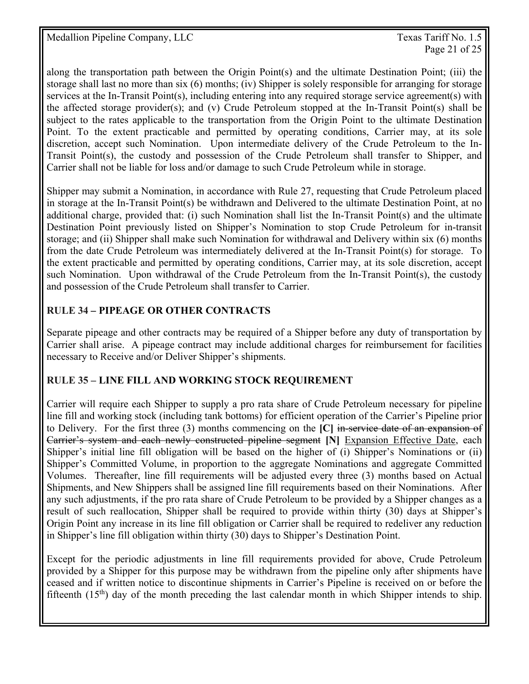Page 21 of 25

along the transportation path between the Origin Point(s) and the ultimate Destination Point; (iii) the storage shall last no more than six (6) months; (iv) Shipper is solely responsible for arranging for storage services at the In-Transit Point(s), including entering into any required storage service agreement(s) with the affected storage provider(s); and (v) Crude Petroleum stopped at the In-Transit Point(s) shall be subject to the rates applicable to the transportation from the Origin Point to the ultimate Destination Point. To the extent practicable and permitted by operating conditions, Carrier may, at its sole discretion, accept such Nomination. Upon intermediate delivery of the Crude Petroleum to the In-Transit Point(s), the custody and possession of the Crude Petroleum shall transfer to Shipper, and Carrier shall not be liable for loss and/or damage to such Crude Petroleum while in storage.

Shipper may submit a Nomination, in accordance with Rule 27, requesting that Crude Petroleum placed in storage at the In-Transit Point(s) be withdrawn and Delivered to the ultimate Destination Point, at no additional charge, provided that: (i) such Nomination shall list the In-Transit Point(s) and the ultimate Destination Point previously listed on Shipper's Nomination to stop Crude Petroleum for in-transit storage; and (ii) Shipper shall make such Nomination for withdrawal and Delivery within six (6) months from the date Crude Petroleum was intermediately delivered at the In-Transit Point(s) for storage. To the extent practicable and permitted by operating conditions, Carrier may, at its sole discretion, accept such Nomination. Upon withdrawal of the Crude Petroleum from the In-Transit Point(s), the custody and possession of the Crude Petroleum shall transfer to Carrier.

### **RULE 34** *–* **PIPEAGE OR OTHER CONTRACTS**

Separate pipeage and other contracts may be required of a Shipper before any duty of transportation by Carrier shall arise. A pipeage contract may include additional charges for reimbursement for facilities necessary to Receive and/or Deliver Shipper's shipments.

#### **RULE 35 – LINE FILL AND WORKING STOCK REQUIREMENT**

Carrier will require each Shipper to supply a pro rata share of Crude Petroleum necessary for pipeline line fill and working stock (including tank bottoms) for efficient operation of the Carrier's Pipeline prior to Delivery. For the first three (3) months commencing on the **[C]** in-service date of an expansion of Carrier's system and each newly constructed pipeline segment **[N]** Expansion Effective Date, each Shipper's initial line fill obligation will be based on the higher of (i) Shipper's Nominations or (ii) Shipper's Committed Volume, in proportion to the aggregate Nominations and aggregate Committed Volumes. Thereafter, line fill requirements will be adjusted every three (3) months based on Actual Shipments, and New Shippers shall be assigned line fill requirements based on their Nominations. After any such adjustments, if the pro rata share of Crude Petroleum to be provided by a Shipper changes as a result of such reallocation, Shipper shall be required to provide within thirty (30) days at Shipper's Origin Point any increase in its line fill obligation or Carrier shall be required to redeliver any reduction in Shipper's line fill obligation within thirty (30) days to Shipper's Destination Point.

Except for the periodic adjustments in line fill requirements provided for above, Crude Petroleum provided by a Shipper for this purpose may be withdrawn from the pipeline only after shipments have ceased and if written notice to discontinue shipments in Carrier's Pipeline is received on or before the fifteenth  $(15<sup>th</sup>)$  day of the month preceding the last calendar month in which Shipper intends to ship.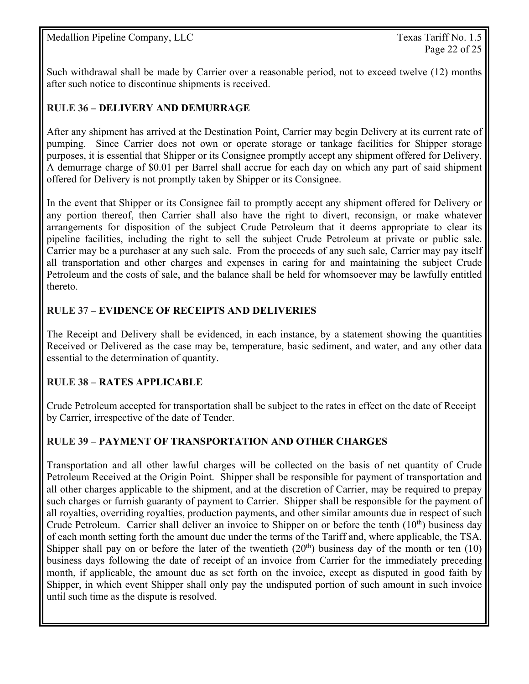Such withdrawal shall be made by Carrier over a reasonable period, not to exceed twelve (12) months after such notice to discontinue shipments is received.

#### **RULE 36 – DELIVERY AND DEMURRAGE**

After any shipment has arrived at the Destination Point, Carrier may begin Delivery at its current rate of pumping. Since Carrier does not own or operate storage or tankage facilities for Shipper storage purposes, it is essential that Shipper or its Consignee promptly accept any shipment offered for Delivery. A demurrage charge of \$0.01 per Barrel shall accrue for each day on which any part of said shipment offered for Delivery is not promptly taken by Shipper or its Consignee.

In the event that Shipper or its Consignee fail to promptly accept any shipment offered for Delivery or any portion thereof, then Carrier shall also have the right to divert, reconsign, or make whatever arrangements for disposition of the subject Crude Petroleum that it deems appropriate to clear its pipeline facilities, including the right to sell the subject Crude Petroleum at private or public sale. Carrier may be a purchaser at any such sale. From the proceeds of any such sale, Carrier may pay itself all transportation and other charges and expenses in caring for and maintaining the subject Crude Petroleum and the costs of sale, and the balance shall be held for whomsoever may be lawfully entitled thereto.

#### **RULE 37 – EVIDENCE OF RECEIPTS AND DELIVERIES**

The Receipt and Delivery shall be evidenced, in each instance, by a statement showing the quantities Received or Delivered as the case may be, temperature, basic sediment, and water, and any other data essential to the determination of quantity.

#### **RULE 38 – RATES APPLICABLE**

Crude Petroleum accepted for transportation shall be subject to the rates in effect on the date of Receipt by Carrier, irrespective of the date of Tender.

#### **RULE 39 – PAYMENT OF TRANSPORTATION AND OTHER CHARGES**

Transportation and all other lawful charges will be collected on the basis of net quantity of Crude Petroleum Received at the Origin Point. Shipper shall be responsible for payment of transportation and all other charges applicable to the shipment, and at the discretion of Carrier, may be required to prepay such charges or furnish guaranty of payment to Carrier. Shipper shall be responsible for the payment of all royalties, overriding royalties, production payments, and other similar amounts due in respect of such Crude Petroleum. Carrier shall deliver an invoice to Shipper on or before the tenth  $(10^{th})$  business day of each month setting forth the amount due under the terms of the Tariff and, where applicable, the TSA. Shipper shall pay on or before the later of the twentieth  $(20<sup>th</sup>)$  business day of the month or ten  $(10)$ business days following the date of receipt of an invoice from Carrier for the immediately preceding month, if applicable, the amount due as set forth on the invoice, except as disputed in good faith by Shipper, in which event Shipper shall only pay the undisputed portion of such amount in such invoice until such time as the dispute is resolved.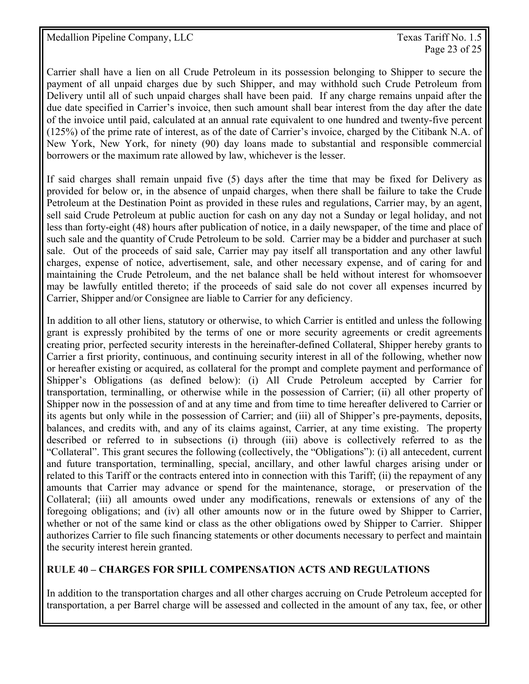Carrier shall have a lien on all Crude Petroleum in its possession belonging to Shipper to secure the payment of all unpaid charges due by such Shipper, and may withhold such Crude Petroleum from Delivery until all of such unpaid charges shall have been paid. If any charge remains unpaid after the due date specified in Carrier's invoice, then such amount shall bear interest from the day after the date of the invoice until paid, calculated at an annual rate equivalent to one hundred and twenty-five percent (125%) of the prime rate of interest, as of the date of Carrier's invoice, charged by the Citibank N.A. of New York, New York, for ninety (90) day loans made to substantial and responsible commercial borrowers or the maximum rate allowed by law, whichever is the lesser.

If said charges shall remain unpaid five (5) days after the time that may be fixed for Delivery as provided for below or, in the absence of unpaid charges, when there shall be failure to take the Crude Petroleum at the Destination Point as provided in these rules and regulations, Carrier may, by an agent, sell said Crude Petroleum at public auction for cash on any day not a Sunday or legal holiday, and not less than forty-eight (48) hours after publication of notice, in a daily newspaper, of the time and place of such sale and the quantity of Crude Petroleum to be sold. Carrier may be a bidder and purchaser at such sale. Out of the proceeds of said sale, Carrier may pay itself all transportation and any other lawful charges, expense of notice, advertisement, sale, and other necessary expense, and of caring for and maintaining the Crude Petroleum, and the net balance shall be held without interest for whomsoever may be lawfully entitled thereto; if the proceeds of said sale do not cover all expenses incurred by Carrier, Shipper and/or Consignee are liable to Carrier for any deficiency.

In addition to all other liens, statutory or otherwise, to which Carrier is entitled and unless the following grant is expressly prohibited by the terms of one or more security agreements or credit agreements creating prior, perfected security interests in the hereinafter-defined Collateral, Shipper hereby grants to Carrier a first priority, continuous, and continuing security interest in all of the following, whether now or hereafter existing or acquired, as collateral for the prompt and complete payment and performance of Shipper's Obligations (as defined below): (i) All Crude Petroleum accepted by Carrier for transportation, terminalling, or otherwise while in the possession of Carrier; (ii) all other property of Shipper now in the possession of and at any time and from time to time hereafter delivered to Carrier or its agents but only while in the possession of Carrier; and (iii) all of Shipper's pre-payments, deposits, balances, and credits with, and any of its claims against, Carrier, at any time existing. The property described or referred to in subsections (i) through (iii) above is collectively referred to as the "Collateral". This grant secures the following (collectively, the "Obligations"): (i) all antecedent, current and future transportation, terminalling, special, ancillary, and other lawful charges arising under or related to this Tariff or the contracts entered into in connection with this Tariff; (ii) the repayment of any amounts that Carrier may advance or spend for the maintenance, storage, or preservation of the Collateral; (iii) all amounts owed under any modifications, renewals or extensions of any of the foregoing obligations; and (iv) all other amounts now or in the future owed by Shipper to Carrier, whether or not of the same kind or class as the other obligations owed by Shipper to Carrier. Shipper authorizes Carrier to file such financing statements or other documents necessary to perfect and maintain the security interest herein granted.

#### **RULE 40 – CHARGES FOR SPILL COMPENSATION ACTS AND REGULATIONS**

In addition to the transportation charges and all other charges accruing on Crude Petroleum accepted for transportation, a per Barrel charge will be assessed and collected in the amount of any tax, fee, or other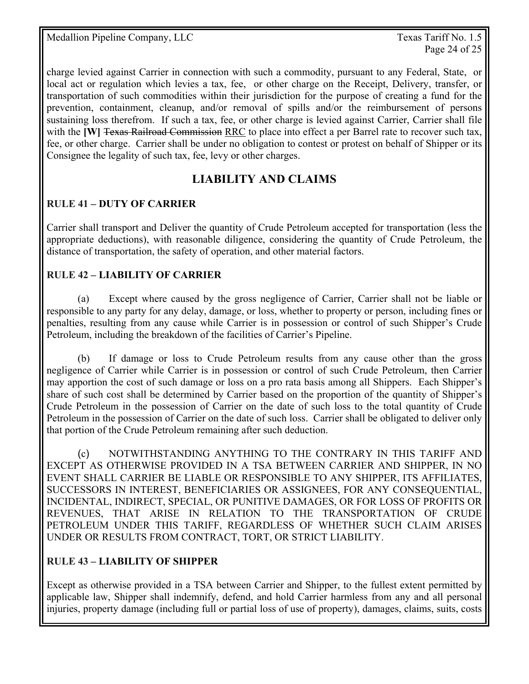Page 24 of 25

charge levied against Carrier in connection with such a commodity, pursuant to any Federal, State, or local act or regulation which levies a tax, fee, or other charge on the Receipt, Delivery, transfer, or transportation of such commodities within their jurisdiction for the purpose of creating a fund for the prevention, containment, cleanup, and/or removal of spills and/or the reimbursement of persons sustaining loss therefrom. If such a tax, fee, or other charge is levied against Carrier, Carrier shall file with the **[W]** Texas Railroad Commission RRC to place into effect a per Barrel rate to recover such tax, fee, or other charge. Carrier shall be under no obligation to contest or protest on behalf of Shipper or its Consignee the legality of such tax, fee, levy or other charges.

## **LIABILITY AND CLAIMS**

#### **RULE 41 – DUTY OF CARRIER**

Carrier shall transport and Deliver the quantity of Crude Petroleum accepted for transportation (less the appropriate deductions), with reasonable diligence, considering the quantity of Crude Petroleum, the distance of transportation, the safety of operation, and other material factors.

#### **RULE 42 – LIABILITY OF CARRIER**

 (a) Except where caused by the gross negligence of Carrier, Carrier shall not be liable or responsible to any party for any delay, damage, or loss, whether to property or person, including fines or penalties, resulting from any cause while Carrier is in possession or control of such Shipper's Crude Petroleum, including the breakdown of the facilities of Carrier's Pipeline.

 (b) If damage or loss to Crude Petroleum results from any cause other than the gross negligence of Carrier while Carrier is in possession or control of such Crude Petroleum, then Carrier may apportion the cost of such damage or loss on a pro rata basis among all Shippers. Each Shipper's share of such cost shall be determined by Carrier based on the proportion of the quantity of Shipper's Crude Petroleum in the possession of Carrier on the date of such loss to the total quantity of Crude Petroleum in the possession of Carrier on the date of such loss. Carrier shall be obligated to deliver only that portion of the Crude Petroleum remaining after such deduction.

 (c) NOTWITHSTANDING ANYTHING TO THE CONTRARY IN THIS TARIFF AND EXCEPT AS OTHERWISE PROVIDED IN A TSA BETWEEN CARRIER AND SHIPPER, IN NO EVENT SHALL CARRIER BE LIABLE OR RESPONSIBLE TO ANY SHIPPER, ITS AFFILIATES, SUCCESSORS IN INTEREST, BENEFICIARIES OR ASSIGNEES, FOR ANY CONSEQUENTIAL, INCIDENTAL, INDIRECT, SPECIAL, OR PUNITIVE DAMAGES, OR FOR LOSS OF PROFITS OR REVENUES, THAT ARISE IN RELATION TO THE TRANSPORTATION OF CRUDE PETROLEUM UNDER THIS TARIFF, REGARDLESS OF WHETHER SUCH CLAIM ARISES UNDER OR RESULTS FROM CONTRACT, TORT, OR STRICT LIABILITY.

#### **RULE 43 – LIABILITY OF SHIPPER**

Except as otherwise provided in a TSA between Carrier and Shipper, to the fullest extent permitted by applicable law, Shipper shall indemnify, defend, and hold Carrier harmless from any and all personal injuries, property damage (including full or partial loss of use of property), damages, claims, suits, costs